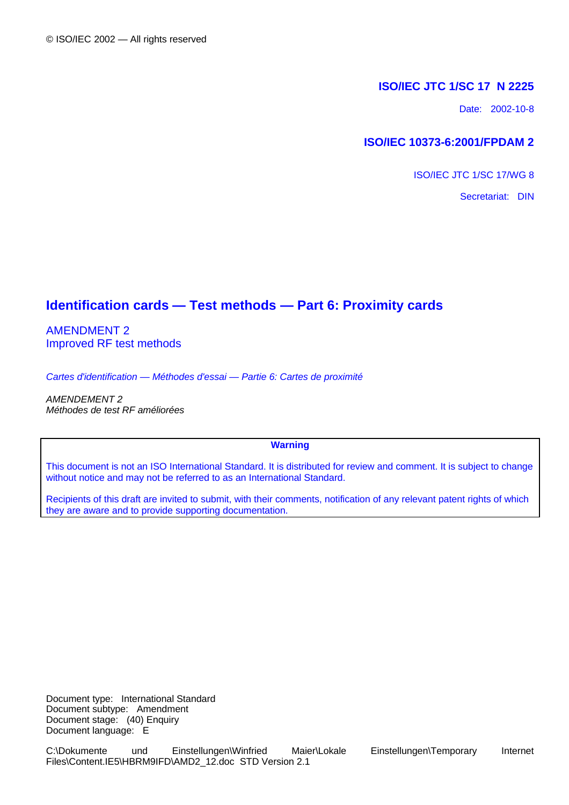### **ISO/IEC JTC 1/SC 17 N 2225**

Date: 2002-10-8

## **ISO/IEC 10373-6:2001/FPDAM 2**

ISO/IEC JTC 1/SC 17/WG 8

Secretariat: DIN

# **Identification cards — Test methods — Part 6: Proximity cards**

AMENDMENT 2 Improved RF test methods

*Cartes d'identification — Méthodes d'essai — Partie 6: Cartes de proximité*

*AMENDEMENT 2 Méthodes de test RF améliorées*

### **Warning**

This document is not an ISO International Standard. It is distributed for review and comment. It is subject to change without notice and may not be referred to as an International Standard.

Recipients of this draft are invited to submit, with their comments, notification of any relevant patent rights of which they are aware and to provide supporting documentation.

Document type: International Standard Document subtype: Amendment Document stage: (40) Enquiry Document language: E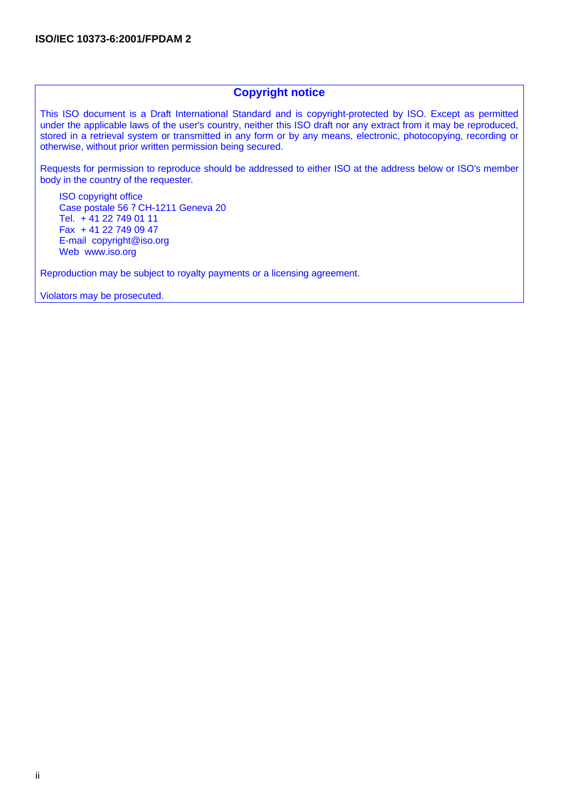## **Copyright notice**

This ISO document is a Draft International Standard and is copyright-protected by ISO. Except as permitted under the applicable laws of the user's country, neither this ISO draft nor any extract from it may be reproduced, stored in a retrieval system or transmitted in any form or by any means, electronic, photocopying, recording or otherwise, without prior written permission being secured.

Requests for permission to reproduce should be addressed to either ISO at the address below or ISO's member body in the country of the requester.

ISO copyright office Case postale 56 ? CH-1211 Geneva 20 Tel. + 41 22 749 01 11 Fax + 41 22 749 09 47 E-mail copyright@iso.org Web www.iso.org

Reproduction may be subject to royalty payments or a licensing agreement.

Violators may be prosecuted.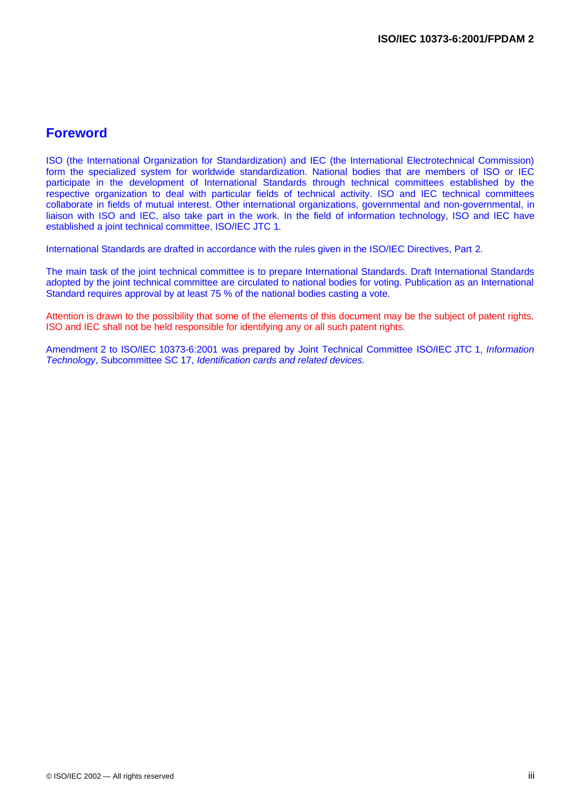# **Foreword**

ISO (the International Organization for Standardization) and IEC (the International Electrotechnical Commission) form the specialized system for worldwide standardization. National bodies that are members of ISO or IEC participate in the development of International Standards through technical committees established by the respective organization to deal with particular fields of technical activity. ISO and IEC technical committees collaborate in fields of mutual interest. Other international organizations, governmental and non-governmental, in liaison with ISO and IEC, also take part in the work. In the field of information technology, ISO and IEC have established a joint technical committee, ISO/IEC JTC 1.

International Standards are drafted in accordance with the rules given in the ISO/IEC Directives, Part 2.

The main task of the joint technical committee is to prepare International Standards. Draft International Standards adopted by the joint technical committee are circulated to national bodies for voting. Publication as an International Standard requires approval by at least 75 % of the national bodies casting a vote.

Attention is drawn to the possibility that some of the elements of this document may be the subject of patent rights. ISO and IEC shall not be held responsible for identifying any or all such patent rights.

Amendment 2 to ISO/IEC 10373-6:2001 was prepared by Joint Technical Committee ISO/IEC JTC 1, *Information Technology*, Subcommittee SC 17, *Identification cards and related devices*.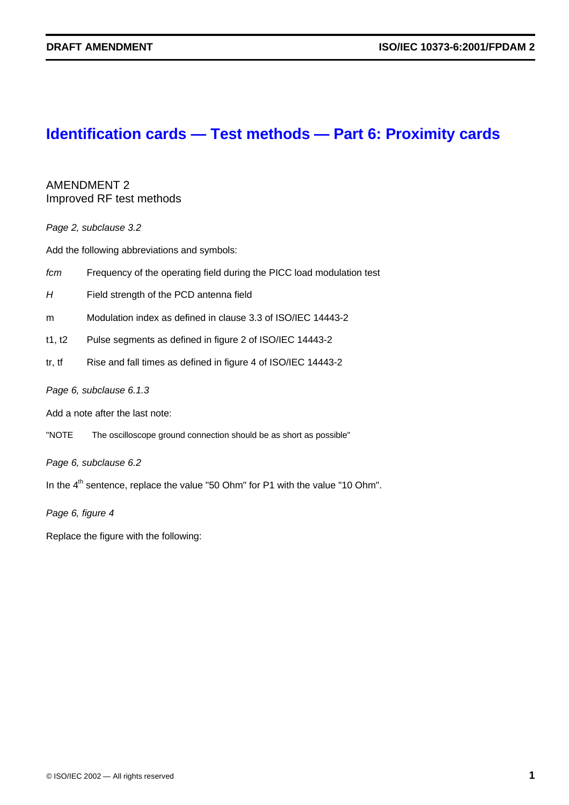# **Identification cards — Test methods — Part 6: Proximity cards**

AMENDMENT 2 Improved RF test methods

*Page 2, subclause 3.2*

Add the following abbreviations and symbols:

- *fcm* Frequency of the operating field during the PICC load modulation test
- *H* Field strength of the PCD antenna field
- m Modulation index as defined in clause 3.3 of ISO/IEC 14443-2
- t1, t2 Pulse segments as defined in figure 2 of ISO/IEC 14443-2
- tr, tf Rise and fall times as defined in figure 4 of ISO/IEC 14443-2

### *Page 6, subclause 6.1.3*

Add a note after the last note:

"NOTE The oscilloscope ground connection should be as short as possible"

*Page 6, subclause 6.2*

In the  $4<sup>th</sup>$  sentence, replace the value "50 Ohm" for P1 with the value "10 Ohm".

*Page 6, figure 4*

Replace the figure with the following: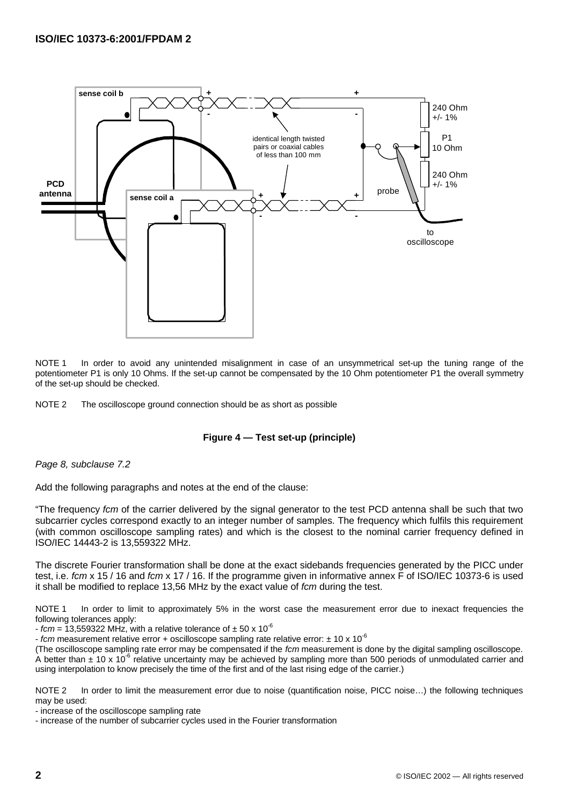

NOTE 1 In order to avoid any unintended misalignment in case of an unsymmetrical set-up the tuning range of the potentiometer P1 is only 10 Ohms. If the set-up cannot be compensated by the 10 Ohm potentiometer P1 the overall symmetry of the set-up should be checked.

NOTE 2 The oscilloscope ground connection should be as short as possible

### **Figure 4 — Test set-up (principle)**

#### *Page 8, subclause 7.2*

Add the following paragraphs and notes at the end of the clause:

"The frequency *fcm* of the carrier delivered by the signal generator to the test PCD antenna shall be such that two subcarrier cycles correspond exactly to an integer number of samples. The frequency which fulfils this requirement (with common oscilloscope sampling rates) and which is the closest to the nominal carrier frequency defined in ISO/IEC 14443-2 is 13,559322 MHz.

The discrete Fourier transformation shall be done at the exact sidebands frequencies generated by the PICC under test, i.e. *fcm* x 15 / 16 and *fcm* x 17 / 16. If the programme given in informative annex F of ISO/IEC 10373-6 is used it shall be modified to replace 13,56 MHz by the exact value of *fcm* during the test.

NOTE 1 In order to limit to approximately 5% in the worst case the measurement error due to inexact frequencies the following tolerances apply:

 $-$  *fcm* = 13,559322 MHz, with a relative tolerance of  $\pm$  50 x 10<sup>-6</sup>

- *fcm* measurement relative error + oscilloscope sampling rate relative error: ± 10 x 10-6

(The oscilloscope sampling rate error may be compensated if the *fcm* measurement is done by the digital sampling oscilloscope. A better than  $\pm$  10 x 10<sup>-6</sup> relative uncertainty may be achieved by sampling more than 500 periods of unmodulated carrier and using interpolation to know precisely the time of the first and of the last rising edge of the carrier.)

NOTE 2 In order to limit the measurement error due to noise (quantification noise, PICC noise...) the following techniques may be used:

- increase of the oscilloscope sampling rate

- increase of the number of subcarrier cycles used in the Fourier transformation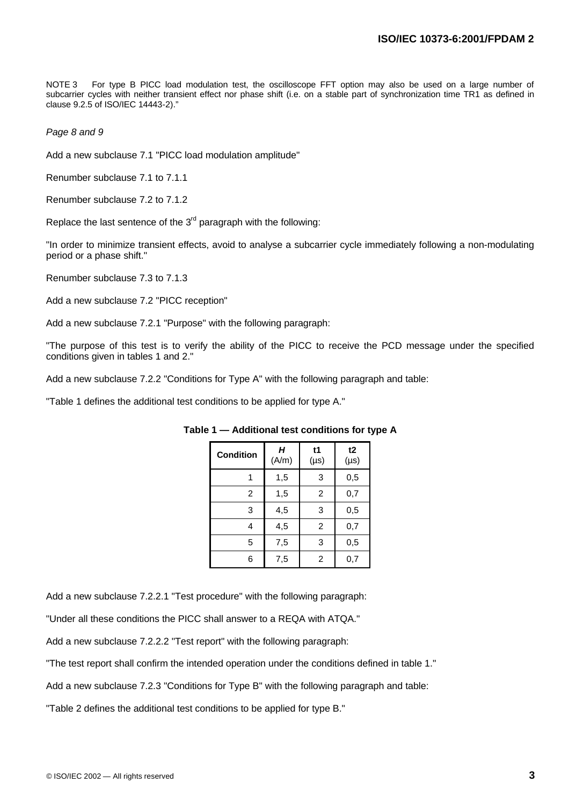NOTE 3 For type B PICC load modulation test, the oscilloscope FFT option may also be used on a large number of subcarrier cycles with neither transient effect nor phase shift (i.e. on a stable part of synchronization time TR1 as defined in clause 9.2.5 of ISO/IEC 14443-2)."

*Page 8 and 9*

Add a new subclause 7.1 "PICC load modulation amplitude"

Renumber subclause 7.1 to 7.1.1

Renumber subclause 7.2 to 7.1.2

Replace the last sentence of the  $3<sup>rd</sup>$  paragraph with the following:

"In order to minimize transient effects, avoid to analyse a subcarrier cycle immediately following a non-modulating period or a phase shift."

Renumber subclause 7.3 to 7.1.3

Add a new subclause 7.2 "PICC reception"

Add a new subclause 7.2.1 "Purpose" with the following paragraph:

"The purpose of this test is to verify the ability of the PICC to receive the PCD message under the specified conditions given in tables 1 and 2."

Add a new subclause 7.2.2 "Conditions for Type A" with the following paragraph and table:

"Table 1 defines the additional test conditions to be applied for type A."

| <b>Condition</b> | Н<br>(A/m) | t1<br>$(\mu s)$ | t2<br>$(\mu s)$ |
|------------------|------------|-----------------|-----------------|
|                  | 1,5        | 3               | 0,5             |
| 2                | 1,5        | 2               | 0,7             |
| 3                | 4,5        | 3               | 0,5             |
| 4                | 4,5        | 2               | 0,7             |
| 5                | 7,5        | 3               | 0,5             |
| 6                | 7,5        | 2               | 0,7             |

**Table 1 — Additional test conditions for type A**

Add a new subclause 7.2.2.1 "Test procedure" with the following paragraph:

"Under all these conditions the PICC shall answer to a REQA with ATQA."

Add a new subclause 7.2.2.2 "Test report" with the following paragraph:

"The test report shall confirm the intended operation under the conditions defined in table 1."

Add a new subclause 7.2.3 "Conditions for Type B" with the following paragraph and table:

"Table 2 defines the additional test conditions to be applied for type B."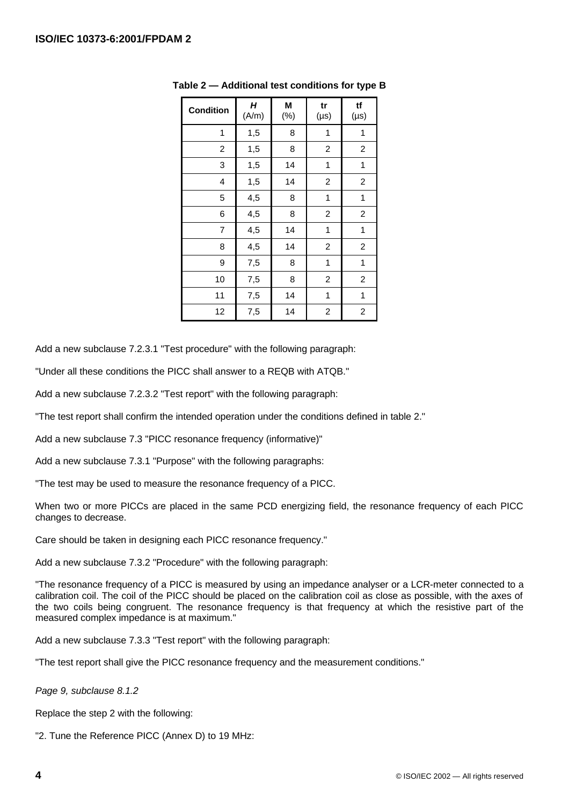| <b>Condition</b> | H<br>(A/m) | M<br>$(\%)$ | tr<br>$(\mu s)$         | tf<br>$(\mu s)$ |
|------------------|------------|-------------|-------------------------|-----------------|
| 1                | 1,5        | 8           | 1                       | 1               |
| 2                | 1,5        | 8           | $\overline{c}$          | 2               |
| 3                | 1,5        | 14          | 1                       | 1               |
| 4                | 1,5        | 14          | $\overline{\mathbf{c}}$ | 2               |
| 5                | 4,5        | 8           | 1                       | 1               |
| 6                | 4,5        | 8           | $\overline{c}$          | 2               |
| 7                | 4,5        | 14          | 1                       | 1               |
| 8                | 4,5        | 14          | $\overline{c}$          | 2               |
| 9                | 7,5        | 8           | 1                       | 1               |
| 10               | 7,5        | 8           | 2                       | 2               |
| 11               | 7,5        | 14          | 1                       | 1               |
| 12               | 7,5        | 14          | $\overline{c}$          | 2               |

**Table 2 — Additional test conditions for type B**

Add a new subclause 7.2.3.1 "Test procedure" with the following paragraph:

"Under all these conditions the PICC shall answer to a REQB with ATQB."

Add a new subclause 7.2.3.2 "Test report" with the following paragraph:

"The test report shall confirm the intended operation under the conditions defined in table 2."

Add a new subclause 7.3 "PICC resonance frequency (informative)"

Add a new subclause 7.3.1 "Purpose" with the following paragraphs:

"The test may be used to measure the resonance frequency of a PICC.

When two or more PICCs are placed in the same PCD energizing field, the resonance frequency of each PICC changes to decrease.

Care should be taken in designing each PICC resonance frequency."

Add a new subclause 7.3.2 "Procedure" with the following paragraph:

"The resonance frequency of a PICC is measured by using an impedance analyser or a LCR-meter connected to a calibration coil. The coil of the PICC should be placed on the calibration coil as close as possible, with the axes of the two coils being congruent. The resonance frequency is that frequency at which the resistive part of the measured complex impedance is at maximum."

Add a new subclause 7.3.3 "Test report" with the following paragraph:

"The test report shall give the PICC resonance frequency and the measurement conditions."

*Page 9, subclause 8.1.2*

Replace the step 2 with the following:

"2. Tune the Reference PICC (Annex D) to 19 MHz: